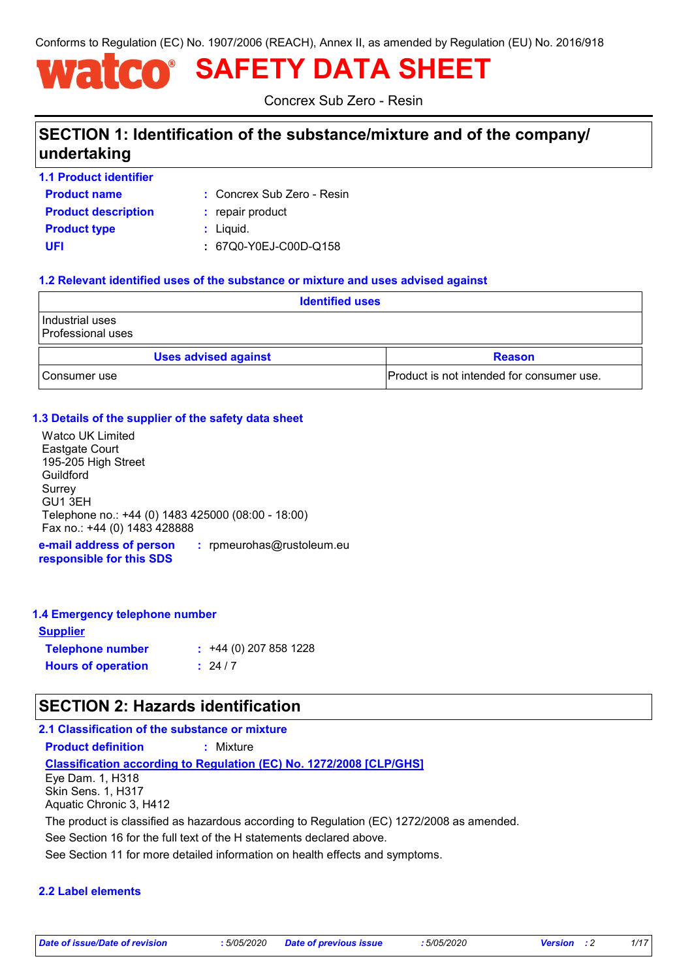Conforms to Regulation (EC) No. 1907/2006 (REACH), Annex II, as amended by Regulation (EU) No. 2016/918

# **SAFETY DATA SHEET**

Concrex Sub Zero - Resin

# **SECTION 1: Identification of the substance/mixture and of the company/ undertaking**

**Product name 1.1 Product identifier**

Concrex Sub Zero - Resin **:**

**Product type**  $\qquad$ **:** Liquid. **Product description :** repair product

**UFI :** 67Q0-Y0EJ-C00D-Q158

#### **1.2 Relevant identified uses of the substance or mixture and uses advised against**

| <b>Identified uses</b>               |                                           |  |
|--------------------------------------|-------------------------------------------|--|
| Industrial uses<br>Professional uses |                                           |  |
| <b>Uses advised against</b>          | <b>Reason</b>                             |  |
| Consumer use                         | Product is not intended for consumer use. |  |

#### **1.3 Details of the supplier of the safety data sheet**

**e-mail address of person**  Watco UK Limited Eastgate Court 195-205 High Street Guildford Surrey GU1 3EH Telephone no.: +44 (0) 1483 425000 (08:00 - 18:00) Fax no.: +44 (0) 1483 428888

**responsible for this SDS :** rpmeurohas@rustoleum.eu

#### **1.4 Emergency telephone number**

| <b>Supplier</b>           |                         |
|---------------------------|-------------------------|
| <b>Telephone number</b>   | $: +44(0)$ 207 858 1228 |
| <b>Hours of operation</b> | $\frac{1}{2}$ 24/7      |

# **SECTION 2: Hazards identification**

### **2.1 Classification of the substance or mixture**

**Product definition :** Mixture

**Classification according to Regulation (EC) No. 1272/2008 [CLP/GHS]**

Eye Dam. 1, H318 Skin Sens. 1, H317 Aquatic Chronic 3, H412

The product is classified as hazardous according to Regulation (EC) 1272/2008 as amended.

See Section 16 for the full text of the H statements declared above.

See Section 11 for more detailed information on health effects and symptoms.

#### **2.2 Label elements**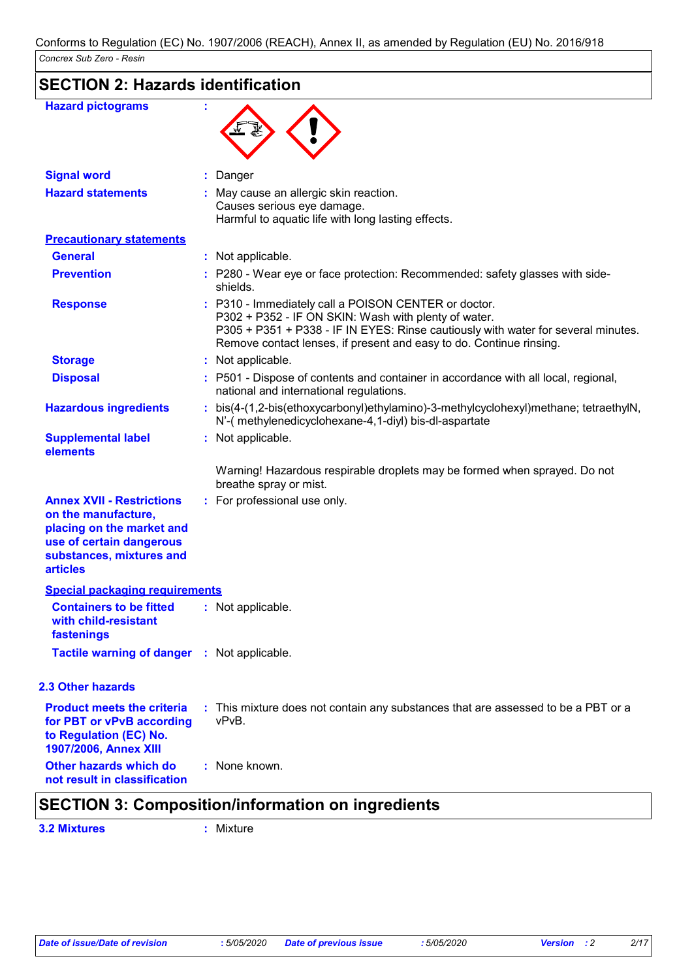| <b>Hazard pictograms</b>                                                                                                                                        |                                                                                                                                                                                                                                                                          |
|-----------------------------------------------------------------------------------------------------------------------------------------------------------------|--------------------------------------------------------------------------------------------------------------------------------------------------------------------------------------------------------------------------------------------------------------------------|
| <b>Signal word</b>                                                                                                                                              | Danger                                                                                                                                                                                                                                                                   |
| <b>Hazard statements</b>                                                                                                                                        | May cause an allergic skin reaction.<br>Causes serious eye damage.<br>Harmful to aquatic life with long lasting effects.                                                                                                                                                 |
| <b>Precautionary statements</b>                                                                                                                                 |                                                                                                                                                                                                                                                                          |
| <b>General</b>                                                                                                                                                  | : Not applicable.                                                                                                                                                                                                                                                        |
| <b>Prevention</b>                                                                                                                                               | : P280 - Wear eye or face protection: Recommended: safety glasses with side-<br>shields.                                                                                                                                                                                 |
| <b>Response</b>                                                                                                                                                 | : P310 - Immediately call a POISON CENTER or doctor.<br>P302 + P352 - IF ON SKIN: Wash with plenty of water.<br>P305 + P351 + P338 - IF IN EYES: Rinse cautiously with water for several minutes.<br>Remove contact lenses, if present and easy to do. Continue rinsing. |
| <b>Storage</b>                                                                                                                                                  | : Not applicable.                                                                                                                                                                                                                                                        |
| <b>Disposal</b>                                                                                                                                                 | : P501 - Dispose of contents and container in accordance with all local, regional,<br>national and international regulations.                                                                                                                                            |
| <b>Hazardous ingredients</b>                                                                                                                                    | : bis(4-(1,2-bis(ethoxycarbonyl)ethylamino)-3-methylcyclohexyl)methane; tetraethylN,<br>N'-( methylenedicyclohexane-4,1-diyl) bis-dl-aspartate                                                                                                                           |
| <b>Supplemental label</b><br>elements                                                                                                                           | : Not applicable.                                                                                                                                                                                                                                                        |
|                                                                                                                                                                 | Warning! Hazardous respirable droplets may be formed when sprayed. Do not<br>breathe spray or mist.                                                                                                                                                                      |
| <b>Annex XVII - Restrictions</b><br>on the manufacture,<br>placing on the market and<br>use of certain dangerous<br>substances, mixtures and<br><b>articles</b> | : For professional use only.                                                                                                                                                                                                                                             |
| <b>Special packaging requirements</b>                                                                                                                           |                                                                                                                                                                                                                                                                          |
| <b>Containers to be fitted</b><br>with child-resistant<br>fastenings                                                                                            | : Not applicable.                                                                                                                                                                                                                                                        |
| Tactile warning of danger : Not applicable.                                                                                                                     |                                                                                                                                                                                                                                                                          |
| <b>2.3 Other hazards</b>                                                                                                                                        |                                                                                                                                                                                                                                                                          |
| <b>Product meets the criteria</b><br>for PBT or vPvB according<br>to Regulation (EC) No.<br>1907/2006, Annex XIII                                               | : This mixture does not contain any substances that are assessed to be a PBT or a<br>vPvB.                                                                                                                                                                               |
| Other hazards which do<br>not result in classification                                                                                                          | : None known.                                                                                                                                                                                                                                                            |

# **SECTION 3: Composition/information on ingredients**

**3.2 Mixtures :** Mixture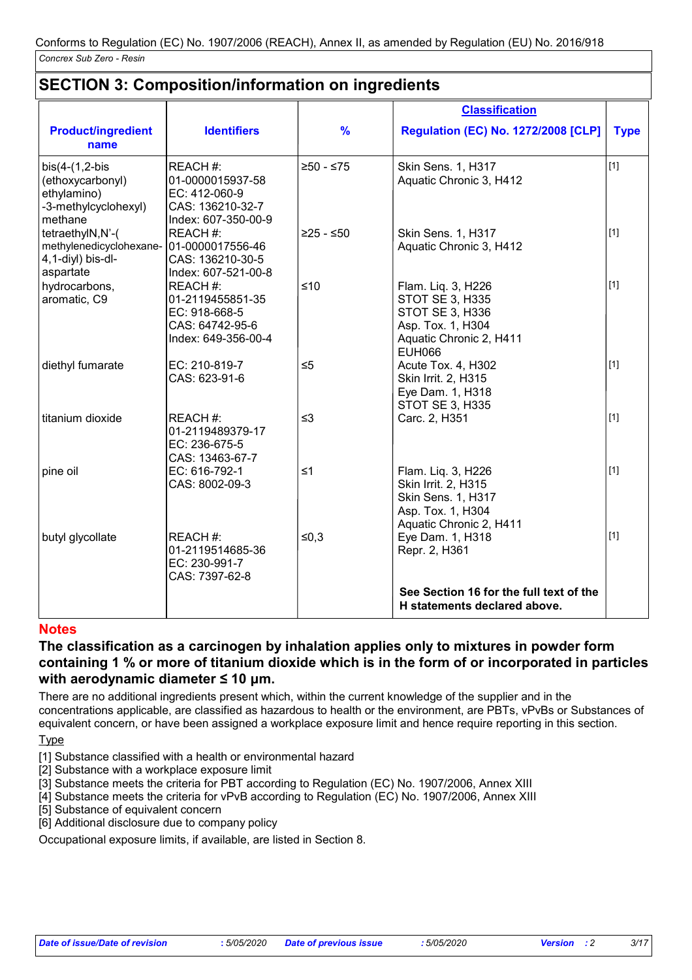## **SECTION 3: Composition/information on ingredients**

|                                                                                                |                                                                                          |               | <b>Classification</b>                                                                                                            |             |
|------------------------------------------------------------------------------------------------|------------------------------------------------------------------------------------------|---------------|----------------------------------------------------------------------------------------------------------------------------------|-------------|
| <b>Product/ingredient</b><br>name                                                              | <b>Identifiers</b>                                                                       | $\frac{9}{6}$ | <b>Regulation (EC) No. 1272/2008 [CLP]</b>                                                                                       | <b>Type</b> |
| $bis(4-(1,2-bis$<br>(ethoxycarbonyl)<br>ethylamino)<br>-3-methylcyclohexyl)<br>methane         | REACH #:<br>01-0000015937-58<br>EC: 412-060-9<br>CAS: 136210-32-7<br>Index: 607-350-00-9 | $≥50 - ≤75$   | Skin Sens. 1, H317<br>Aquatic Chronic 3, H412                                                                                    | $[1]$       |
| tetraethylN,N'-(<br>methylenedicyclohexane- 01-0000017556-46<br>4,1-diyl) bis-dl-<br>aspartate | REACH #:<br>CAS: 136210-30-5<br>Index: 607-521-00-8                                      | $≥25 - ≤50$   | Skin Sens. 1, H317<br>Aquatic Chronic 3, H412                                                                                    | $[1]$       |
| hydrocarbons,<br>aromatic, C9                                                                  | REACH#:<br>01-2119455851-35<br>EC: 918-668-5<br>CAS: 64742-95-6<br>Index: 649-356-00-4   | $≤10$         | Flam. Liq. 3, H226<br><b>STOT SE 3, H335</b><br>STOT SE 3, H336<br>Asp. Tox. 1, H304<br>Aquatic Chronic 2, H411<br><b>EUH066</b> | $[1]$       |
| diethyl fumarate                                                                               | EC: 210-819-7<br>CAS: 623-91-6                                                           | $\leq 5$      | Acute Tox. 4, H302<br>Skin Irrit. 2, H315<br>Eye Dam. 1, H318<br><b>STOT SE 3, H335</b>                                          | [1]         |
| titanium dioxide                                                                               | REACH #:<br>01-2119489379-17<br>EC: 236-675-5<br>CAS: 13463-67-7                         | $\leq$ 3      | Carc. 2, H351                                                                                                                    | $[1]$       |
| pine oil                                                                                       | EC: 616-792-1<br>CAS: 8002-09-3                                                          | $\leq 1$      | Flam. Liq. 3, H226<br>Skin Irrit. 2, H315<br>Skin Sens. 1, H317<br>Asp. Tox. 1, H304<br>Aquatic Chronic 2, H411                  | $[1]$       |
| butyl glycollate                                                                               | REACH#:<br>01-2119514685-36<br>EC: 230-991-7<br>CAS: 7397-62-8                           | $≤0,3$        | Eye Dam. 1, H318<br>Repr. 2, H361                                                                                                | $[1]$       |
|                                                                                                |                                                                                          |               | See Section 16 for the full text of the<br>H statements declared above.                                                          |             |

#### **Notes**

#### **The classification as a carcinogen by inhalation applies only to mixtures in powder form containing 1 % or more of titanium dioxide which is in the form of or incorporated in particles with aerodynamic diameter ≤ 10 μm.**

There are no additional ingredients present which, within the current knowledge of the supplier and in the concentrations applicable, are classified as hazardous to health or the environment, are PBTs, vPvBs or Substances of equivalent concern, or have been assigned a workplace exposure limit and hence require reporting in this section.

Type

[1] Substance classified with a health or environmental hazard

[2] Substance with a workplace exposure limit

<sup>1</sup>.<br>[3] Substance meets the criteria for PBT according to Regulation (EC) No. 1907/2006, Annex XIII

[4] Substance meets the criteria for vPvB according to Regulation (EC) No. 1907/2006, Annex XIII

[5] Substance of equivalent concern

[6] Additional disclosure due to company policy

Occupational exposure limits, if available, are listed in Section 8.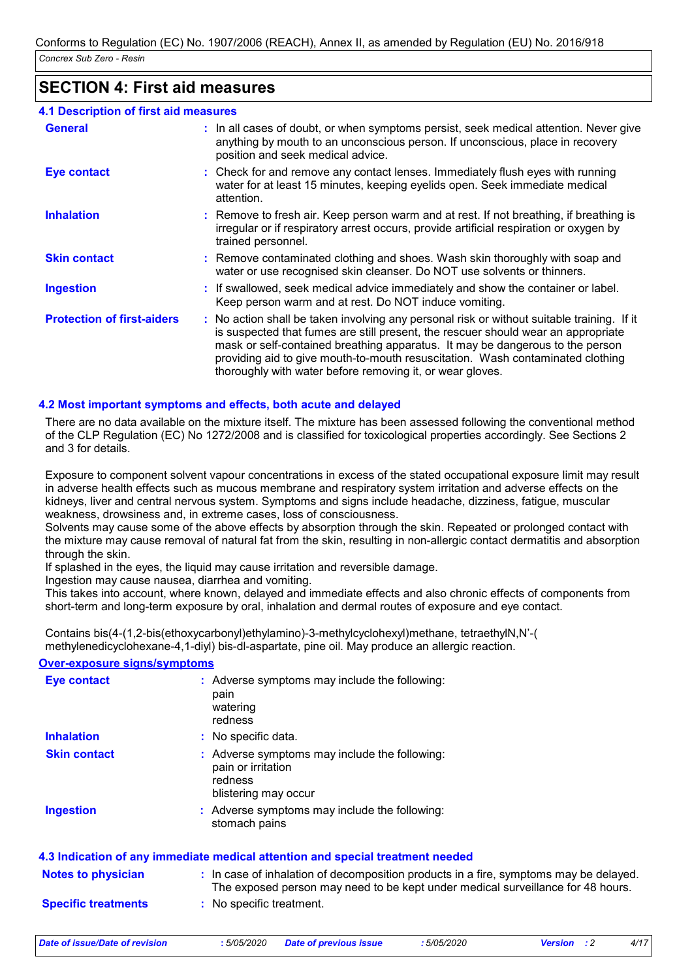# **SECTION 4: First aid measures**

| 4.1 Description of first aid measures |  |
|---------------------------------------|--|
|---------------------------------------|--|

| <b>General</b>                    | : In all cases of doubt, or when symptoms persist, seek medical attention. Never give<br>anything by mouth to an unconscious person. If unconscious, place in recovery<br>position and seek medical advice.                                                                                                                                                                                                     |
|-----------------------------------|-----------------------------------------------------------------------------------------------------------------------------------------------------------------------------------------------------------------------------------------------------------------------------------------------------------------------------------------------------------------------------------------------------------------|
| <b>Eye contact</b>                | : Check for and remove any contact lenses. Immediately flush eyes with running<br>water for at least 15 minutes, keeping eyelids open. Seek immediate medical<br>attention.                                                                                                                                                                                                                                     |
| <b>Inhalation</b>                 | : Remove to fresh air. Keep person warm and at rest. If not breathing, if breathing is<br>irregular or if respiratory arrest occurs, provide artificial respiration or oxygen by<br>trained personnel.                                                                                                                                                                                                          |
| <b>Skin contact</b>               | : Remove contaminated clothing and shoes. Wash skin thoroughly with soap and<br>water or use recognised skin cleanser. Do NOT use solvents or thinners.                                                                                                                                                                                                                                                         |
| <b>Ingestion</b>                  | : If swallowed, seek medical advice immediately and show the container or label.<br>Keep person warm and at rest. Do NOT induce vomiting.                                                                                                                                                                                                                                                                       |
| <b>Protection of first-aiders</b> | : No action shall be taken involving any personal risk or without suitable training. If it<br>is suspected that fumes are still present, the rescuer should wear an appropriate<br>mask or self-contained breathing apparatus. It may be dangerous to the person<br>providing aid to give mouth-to-mouth resuscitation. Wash contaminated clothing<br>thoroughly with water before removing it, or wear gloves. |

#### **4.2 Most important symptoms and effects, both acute and delayed**

There are no data available on the mixture itself. The mixture has been assessed following the conventional method of the CLP Regulation (EC) No 1272/2008 and is classified for toxicological properties accordingly. See Sections 2 and 3 for details.

Exposure to component solvent vapour concentrations in excess of the stated occupational exposure limit may result in adverse health effects such as mucous membrane and respiratory system irritation and adverse effects on the kidneys, liver and central nervous system. Symptoms and signs include headache, dizziness, fatigue, muscular weakness, drowsiness and, in extreme cases, loss of consciousness.

Solvents may cause some of the above effects by absorption through the skin. Repeated or prolonged contact with the mixture may cause removal of natural fat from the skin, resulting in non-allergic contact dermatitis and absorption through the skin.

If splashed in the eyes, the liquid may cause irritation and reversible damage.

Ingestion may cause nausea, diarrhea and vomiting.

This takes into account, where known, delayed and immediate effects and also chronic effects of components from short-term and long-term exposure by oral, inhalation and dermal routes of exposure and eye contact.

Contains bis(4-(1,2-bis(ethoxycarbonyl)ethylamino)-3-methylcyclohexyl)methane, tetraethylN,N'-( methylenedicyclohexane-4,1-diyl) bis-dl-aspartate, pine oil. May produce an allergic reaction.

#### **Over-exposure signs/symptoms**

| <b>Eye contact</b>        | : Adverse symptoms may include the following:<br>pain<br>watering<br>redness                                                                                             |
|---------------------------|--------------------------------------------------------------------------------------------------------------------------------------------------------------------------|
| <b>Inhalation</b>         | : No specific data.                                                                                                                                                      |
| <b>Skin contact</b>       | : Adverse symptoms may include the following:<br>pain or irritation<br>redness<br>blistering may occur                                                                   |
| <b>Ingestion</b>          | : Adverse symptoms may include the following:<br>stomach pains                                                                                                           |
|                           | 4.3 Indication of any immediate medical attention and special treatment needed                                                                                           |
| <b>Notes to physician</b> | : In case of inhalation of decomposition products in a fire, symptoms may be delayed.<br>The exposed person may need to be kept under medical surveillance for 48 hours. |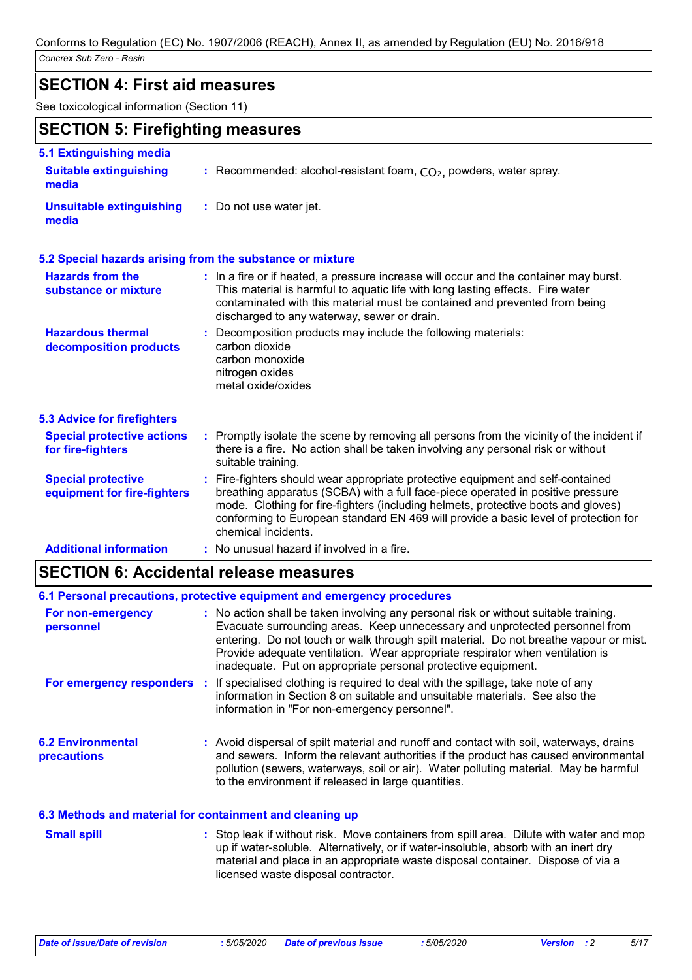### **SECTION 4: First aid measures**

See toxicological information (Section 11)

# **SECTION 5: Firefighting measures**

| 5.1 Extinguishing media                                  |                                                                                                                                                                                                                                                                                                                                                                       |
|----------------------------------------------------------|-----------------------------------------------------------------------------------------------------------------------------------------------------------------------------------------------------------------------------------------------------------------------------------------------------------------------------------------------------------------------|
| <b>Suitable extinguishing</b><br>media                   | : Recommended: alcohol-resistant foam, $CO2$ , powders, water spray.                                                                                                                                                                                                                                                                                                  |
| <b>Unsuitable extinguishing</b><br>media                 | : Do not use water jet.                                                                                                                                                                                                                                                                                                                                               |
|                                                          | 5.2 Special hazards arising from the substance or mixture                                                                                                                                                                                                                                                                                                             |
| <b>Hazards from the</b><br>substance or mixture          | : In a fire or if heated, a pressure increase will occur and the container may burst.<br>This material is harmful to aquatic life with long lasting effects. Fire water<br>contaminated with this material must be contained and prevented from being<br>discharged to any waterway, sewer or drain.                                                                  |
| <b>Hazardous thermal</b><br>decomposition products       | : Decomposition products may include the following materials:<br>carbon dioxide<br>carbon monoxide<br>nitrogen oxides<br>metal oxide/oxides                                                                                                                                                                                                                           |
| <b>5.3 Advice for firefighters</b>                       |                                                                                                                                                                                                                                                                                                                                                                       |
| <b>Special protective actions</b><br>for fire-fighters   | : Promptly isolate the scene by removing all persons from the vicinity of the incident if<br>there is a fire. No action shall be taken involving any personal risk or without<br>suitable training.                                                                                                                                                                   |
| <b>Special protective</b><br>equipment for fire-fighters | : Fire-fighters should wear appropriate protective equipment and self-contained<br>breathing apparatus (SCBA) with a full face-piece operated in positive pressure<br>mode. Clothing for fire-fighters (including helmets, protective boots and gloves)<br>conforming to European standard EN 469 will provide a basic level of protection for<br>chemical incidents. |
| <b>Additional information</b>                            | : No unusual hazard if involved in a fire.                                                                                                                                                                                                                                                                                                                            |

# **SECTION 6: Accidental release measures**

|                                         | 6.1 Personal precautions, protective equipment and emergency procedures                                                                                                                                                                                                                                                                                                                                        |
|-----------------------------------------|----------------------------------------------------------------------------------------------------------------------------------------------------------------------------------------------------------------------------------------------------------------------------------------------------------------------------------------------------------------------------------------------------------------|
| For non-emergency<br>personnel          | : No action shall be taken involving any personal risk or without suitable training.<br>Evacuate surrounding areas. Keep unnecessary and unprotected personnel from<br>entering. Do not touch or walk through spilt material. Do not breathe vapour or mist.<br>Provide adequate ventilation. Wear appropriate respirator when ventilation is<br>inadequate. Put on appropriate personal protective equipment. |
|                                         | For emergency responders : If specialised clothing is required to deal with the spillage, take note of any<br>information in Section 8 on suitable and unsuitable materials. See also the<br>information in "For non-emergency personnel".                                                                                                                                                                     |
| <b>6.2 Environmental</b><br>precautions | : Avoid dispersal of spilt material and runoff and contact with soil, waterways, drains<br>and sewers. Inform the relevant authorities if the product has caused environmental<br>pollution (sewers, waterways, soil or air). Water polluting material. May be harmful<br>to the environment if released in large quantities.                                                                                  |
|                                         | 6.3 Methods and material for containment and cleaning up                                                                                                                                                                                                                                                                                                                                                       |

| <b>Small spill</b> | : Stop leak if without risk. Move containers from spill area. Dilute with water and mop |
|--------------------|-----------------------------------------------------------------------------------------|
|                    | up if water-soluble. Alternatively, or if water-insoluble, absorb with an inert dry     |
|                    | material and place in an appropriate waste disposal container. Dispose of via a         |
|                    | licensed waste disposal contractor.                                                     |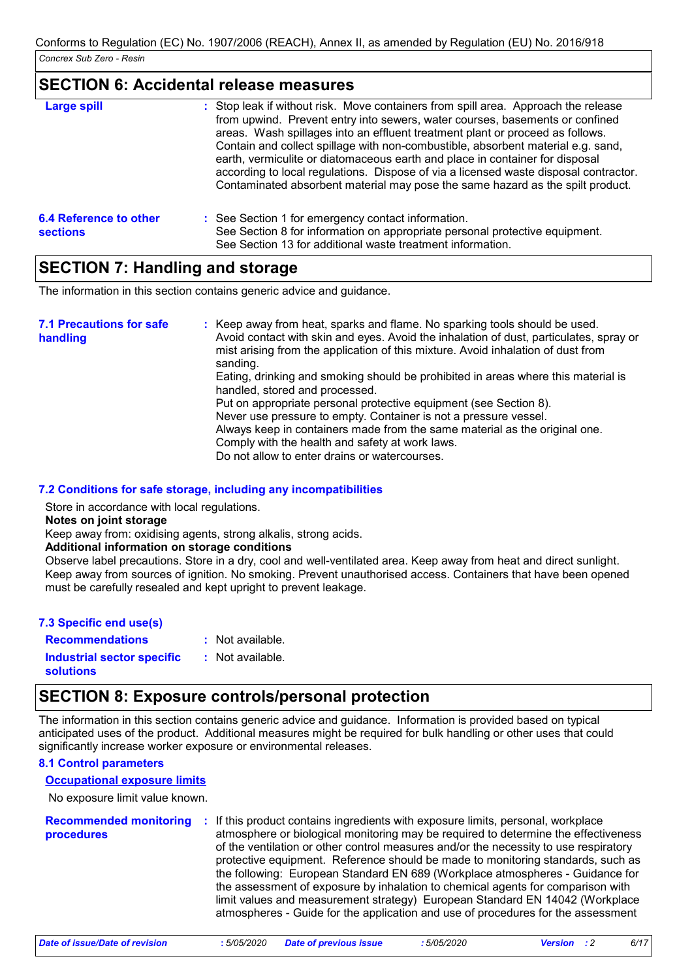### **SECTION 6: Accidental release measures**

| Large spill                               | : Stop leak if without risk. Move containers from spill area. Approach the release<br>from upwind. Prevent entry into sewers, water courses, basements or confined<br>areas. Wash spillages into an effluent treatment plant or proceed as follows.<br>Contain and collect spillage with non-combustible, absorbent material e.g. sand,<br>earth, vermiculite or diatomaceous earth and place in container for disposal<br>according to local regulations. Dispose of via a licensed waste disposal contractor.<br>Contaminated absorbent material may pose the same hazard as the spilt product. |
|-------------------------------------------|---------------------------------------------------------------------------------------------------------------------------------------------------------------------------------------------------------------------------------------------------------------------------------------------------------------------------------------------------------------------------------------------------------------------------------------------------------------------------------------------------------------------------------------------------------------------------------------------------|
| 6.4 Reference to other<br><b>sections</b> | : See Section 1 for emergency contact information.<br>See Section 8 for information on appropriate personal protective equipment.<br>See Section 13 for additional waste treatment information.                                                                                                                                                                                                                                                                                                                                                                                                   |

# **SECTION 7: Handling and storage**

The information in this section contains generic advice and guidance.

| <b>7.1 Precautions for safe</b><br>handling | : Keep away from heat, sparks and flame. No sparking tools should be used.<br>Avoid contact with skin and eyes. Avoid the inhalation of dust, particulates, spray or<br>mist arising from the application of this mixture. Avoid inhalation of dust from<br>sanding.<br>Eating, drinking and smoking should be prohibited in areas where this material is<br>handled, stored and processed.<br>Put on appropriate personal protective equipment (see Section 8).<br>Never use pressure to empty. Container is not a pressure vessel.<br>Always keep in containers made from the same material as the original one.<br>Comply with the health and safety at work laws. |
|---------------------------------------------|-----------------------------------------------------------------------------------------------------------------------------------------------------------------------------------------------------------------------------------------------------------------------------------------------------------------------------------------------------------------------------------------------------------------------------------------------------------------------------------------------------------------------------------------------------------------------------------------------------------------------------------------------------------------------|
|                                             | Do not allow to enter drains or watercourses.                                                                                                                                                                                                                                                                                                                                                                                                                                                                                                                                                                                                                         |

**7.2 Conditions for safe storage, including any incompatibilities**

Store in accordance with local regulations.

**Notes on joint storage**

Keep away from: oxidising agents, strong alkalis, strong acids.

#### **Additional information on storage conditions**

Observe label precautions. Store in a dry, cool and well-ventilated area. Keep away from heat and direct sunlight. Keep away from sources of ignition. No smoking. Prevent unauthorised access. Containers that have been opened must be carefully resealed and kept upright to prevent leakage.

| 7.3 Specific end use(s)    |                    |
|----------------------------|--------------------|
| <b>Recommendations</b>     | $:$ Not available. |
| Industrial sector specific | : Not available.   |
| <b>solutions</b>           |                    |

# **SECTION 8: Exposure controls/personal protection**

The information in this section contains generic advice and guidance. Information is provided based on typical anticipated uses of the product. Additional measures might be required for bulk handling or other uses that could significantly increase worker exposure or environmental releases.

#### **8.1 Control parameters**

#### **Occupational exposure limits**

No exposure limit value known.

| <b>Recommended monitoring</b><br>procedures | : If this product contains ingredients with exposure limits, personal, workplace<br>atmosphere or biological monitoring may be required to determine the effectiveness<br>of the ventilation or other control measures and/or the necessity to use respiratory<br>protective equipment. Reference should be made to monitoring standards, such as<br>the following: European Standard EN 689 (Workplace atmospheres - Guidance for<br>the assessment of exposure by inhalation to chemical agents for comparison with<br>limit values and measurement strategy) European Standard EN 14042 (Workplace<br>atmospheres - Guide for the application and use of procedures for the assessment |  |
|---------------------------------------------|-------------------------------------------------------------------------------------------------------------------------------------------------------------------------------------------------------------------------------------------------------------------------------------------------------------------------------------------------------------------------------------------------------------------------------------------------------------------------------------------------------------------------------------------------------------------------------------------------------------------------------------------------------------------------------------------|--|
|---------------------------------------------|-------------------------------------------------------------------------------------------------------------------------------------------------------------------------------------------------------------------------------------------------------------------------------------------------------------------------------------------------------------------------------------------------------------------------------------------------------------------------------------------------------------------------------------------------------------------------------------------------------------------------------------------------------------------------------------------|--|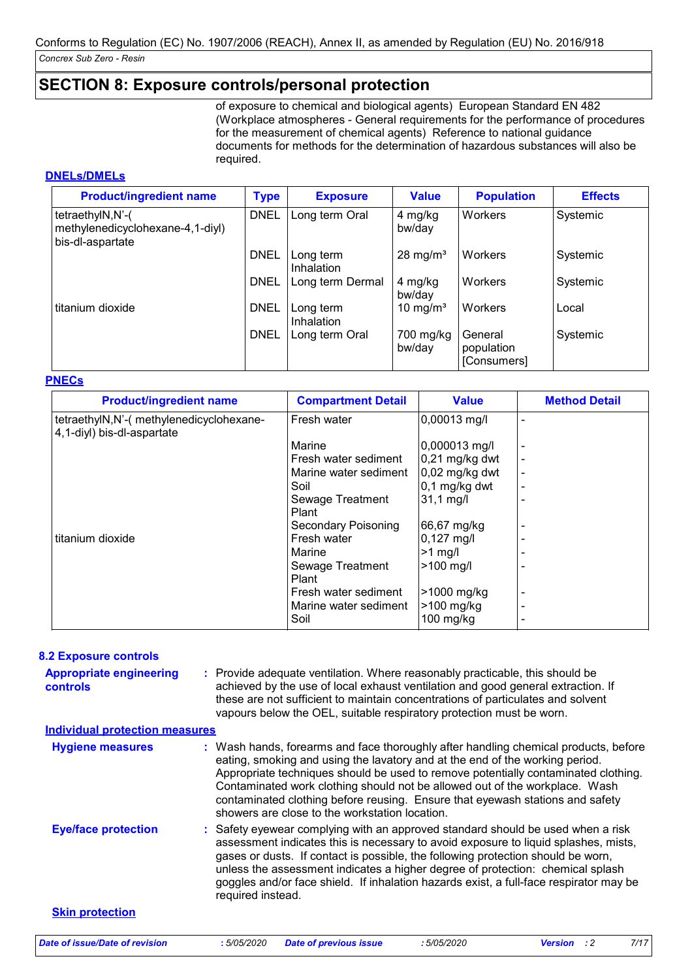### **SECTION 8: Exposure controls/personal protection**

of exposure to chemical and biological agents) European Standard EN 482 (Workplace atmospheres - General requirements for the performance of procedures for the measurement of chemical agents) Reference to national guidance documents for methods for the determination of hazardous substances will also be required.

#### **DNELs/DMELs**

| <b>Product/ingredient name</b>                                           | <b>Type</b> | <b>Exposure</b>         | <b>Value</b>         | <b>Population</b>                    | <b>Effects</b> |
|--------------------------------------------------------------------------|-------------|-------------------------|----------------------|--------------------------------------|----------------|
| tetraethylN,N'-(<br>methylenedicyclohexane-4,1-diyl)<br>bis-dl-aspartate | <b>DNEL</b> | Long term Oral          | 4 mg/kg<br>bw/day    | Workers                              | Systemic       |
|                                                                          | <b>DNEL</b> | Long term<br>Inhalation | $28 \text{ mg/m}^3$  | Workers                              | Systemic       |
|                                                                          | <b>DNEL</b> | Long term Dermal        | 4 mg/kg<br>bw/day    | Workers                              | Systemic       |
| titanium dioxide                                                         | <b>DNEL</b> | Long term<br>Inhalation | 10 mg/m <sup>3</sup> | Workers                              | Local          |
|                                                                          | <b>DNEL</b> | Long term Oral          | 700 mg/kg<br>bw/day  | General<br>population<br>[Consumers] | Systemic       |

#### **PNECs**

| <b>Product/ingredient name</b>                                         | <b>Compartment Detail</b> | <b>Value</b>            | <b>Method Detail</b> |
|------------------------------------------------------------------------|---------------------------|-------------------------|----------------------|
| tetraethylN,N'-( methylenedicyclohexane-<br>4,1-diyl) bis-dl-aspartate | Fresh water               | 0,00013 mg/l            |                      |
|                                                                        | Marine                    | $ 0,000013 \text{ mg/}$ |                      |
|                                                                        | Fresh water sediment      | $0,21$ mg/kg dwt        |                      |
|                                                                        | Marine water sediment     | 0,02 mg/kg dwt          |                      |
|                                                                        | Soil                      | $0,1$ mg/kg dwt         |                      |
|                                                                        | Sewage Treatment<br>Plant | $31,1$ mg/l             |                      |
|                                                                        | Secondary Poisoning       | 66,67 mg/kg             |                      |
| titanium dioxide                                                       | Fresh water               | $0,127$ mg/l            |                      |
|                                                                        | Marine                    | $>1$ mg/                |                      |
|                                                                        | Sewage Treatment<br>Plant | >100 mg/l               |                      |
|                                                                        | Fresh water sediment      | >1000 mg/kg             |                      |
|                                                                        | Marine water sediment     | >100 mg/kg              |                      |
|                                                                        | Soil                      | $100$ mg/kg             |                      |

#### **8.2 Exposure controls**

Provide adequate ventilation. Where reasonably practicable, this should be **:** achieved by the use of local exhaust ventilation and good general extraction. If these are not sufficient to maintain concentrations of particulates and solvent vapours below the OEL, suitable respiratory protection must be worn. **Appropriate engineering controls**

**Eye/face protection : Skin protection** Wash hands, forearms and face thoroughly after handling chemical products, before eating, smoking and using the lavatory and at the end of the working period. Appropriate techniques should be used to remove potentially contaminated clothing. Contaminated work clothing should not be allowed out of the workplace. Wash contaminated clothing before reusing. Ensure that eyewash stations and safety showers are close to the workstation location. **Hygiene measures : Individual protection measures** Safety eyewear complying with an approved standard should be used when a risk assessment indicates this is necessary to avoid exposure to liquid splashes, mists, gases or dusts. If contact is possible, the following protection should be worn, unless the assessment indicates a higher degree of protection: chemical splash goggles and/or face shield. If inhalation hazards exist, a full-face respirator may be required instead.

*Date of issue/Date of revision* **:** *5/05/2020 Date of previous issue : 5/05/2020 Version : 2 7/17*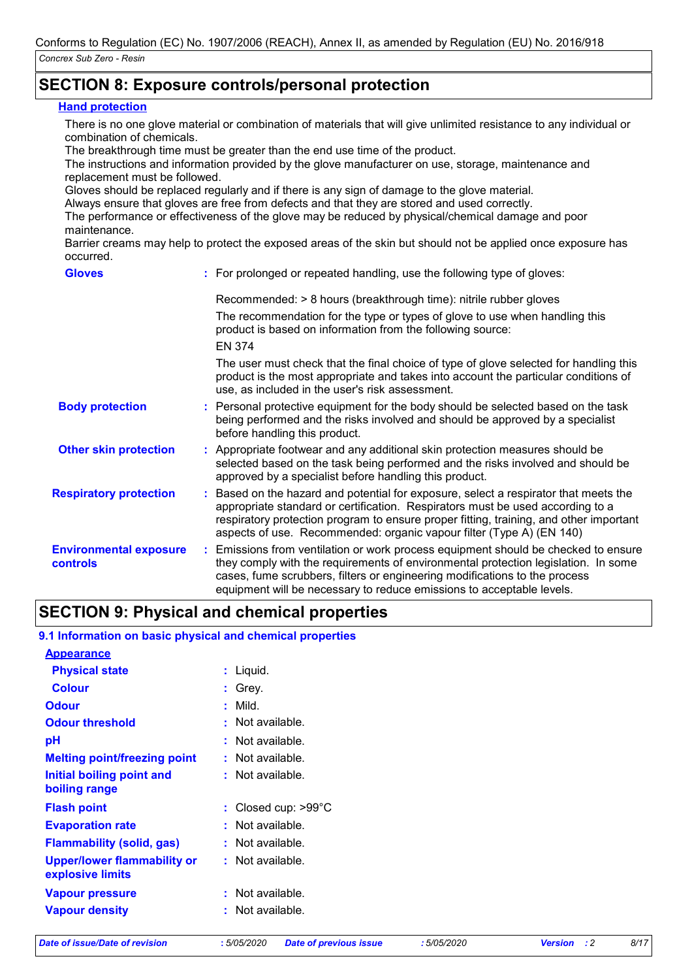# **SECTION 8: Exposure controls/personal protection**

#### **Hand protection**

There is no one glove material or combination of materials that will give unlimited resistance to any individual or combination of chemicals.

The breakthrough time must be greater than the end use time of the product.

The instructions and information provided by the glove manufacturer on use, storage, maintenance and replacement must be followed.

Gloves should be replaced regularly and if there is any sign of damage to the glove material.

Always ensure that gloves are free from defects and that they are stored and used correctly.

The performance or effectiveness of the glove may be reduced by physical/chemical damage and poor maintenance.

Barrier creams may help to protect the exposed areas of the skin but should not be applied once exposure has occurred.

| <b>Gloves</b>                                    | : For prolonged or repeated handling, use the following type of gloves:                                                                                                                                                                                                                                                                  |
|--------------------------------------------------|------------------------------------------------------------------------------------------------------------------------------------------------------------------------------------------------------------------------------------------------------------------------------------------------------------------------------------------|
|                                                  | Recommended: > 8 hours (breakthrough time): nitrile rubber gloves                                                                                                                                                                                                                                                                        |
|                                                  | The recommendation for the type or types of glove to use when handling this<br>product is based on information from the following source:                                                                                                                                                                                                |
|                                                  | <b>EN 374</b>                                                                                                                                                                                                                                                                                                                            |
|                                                  | The user must check that the final choice of type of glove selected for handling this<br>product is the most appropriate and takes into account the particular conditions of<br>use, as included in the user's risk assessment.                                                                                                          |
| <b>Body protection</b>                           | : Personal protective equipment for the body should be selected based on the task<br>being performed and the risks involved and should be approved by a specialist<br>before handling this product.                                                                                                                                      |
| <b>Other skin protection</b>                     | : Appropriate footwear and any additional skin protection measures should be<br>selected based on the task being performed and the risks involved and should be<br>approved by a specialist before handling this product.                                                                                                                |
| <b>Respiratory protection</b>                    | : Based on the hazard and potential for exposure, select a respirator that meets the<br>appropriate standard or certification. Respirators must be used according to a<br>respiratory protection program to ensure proper fitting, training, and other important<br>aspects of use. Recommended: organic vapour filter (Type A) (EN 140) |
| <b>Environmental exposure</b><br><b>controls</b> | : Emissions from ventilation or work process equipment should be checked to ensure<br>they comply with the requirements of environmental protection legislation. In some<br>cases, fume scrubbers, filters or engineering modifications to the process<br>equipment will be necessary to reduce emissions to acceptable levels.          |

# **SECTION 9: Physical and chemical properties**

#### **9.1 Information on basic physical and chemical properties**

| <b>Appearance</b>                               |                               |
|-------------------------------------------------|-------------------------------|
| <b>Physical state</b>                           | : Liquid.                     |
| <b>Colour</b>                                   | : Grev.                       |
| <b>Odour</b>                                    | Mild.                         |
| <b>Odour threshold</b>                          | : Not available.              |
| рH                                              | : Not available.              |
| <b>Melting point/freezing point</b>             | : Not available.              |
| Initial boiling point and                       | : Not available.              |
| boiling range                                   |                               |
| <b>Flash point</b>                              | : Closed cup: $>99^{\circ}$ C |
| <b>Evaporation rate</b>                         | : Not available.              |
| <b>Flammability (solid, gas)</b>                | : Not available.              |
| Upper/lower flammability or<br>explosive limits | : Not available.              |
| <b>Vapour pressure</b>                          | : Not available.              |
| <b>Vapour density</b>                           | . Not available.              |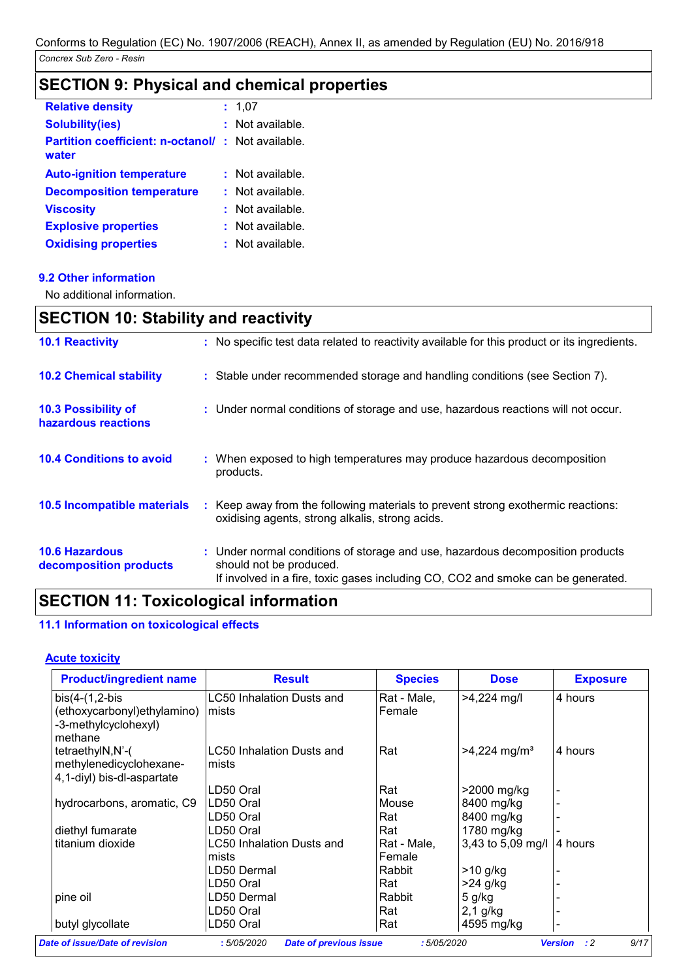# **SECTION 9: Physical and chemical properties**

| <b>Relative density</b>                                           |    | 1.07             |
|-------------------------------------------------------------------|----|------------------|
| <b>Solubility(ies)</b>                                            | ÷. | Not available.   |
| <b>Partition coefficient: n-octanol/: Not available.</b><br>water |    |                  |
| <b>Auto-ignition temperature</b>                                  |    | : Not available. |
| <b>Decomposition temperature</b>                                  | t. | Not available.   |
| <b>Viscosity</b>                                                  |    | Not available.   |
| <b>Explosive properties</b>                                       |    | Not available.   |
| <b>Oxidising properties</b>                                       |    | Not available.   |

#### **9.2 Other information**

No additional information.

# **SECTION 10: Stability and reactivity**

| <b>10.1 Reactivity</b>                            | : No specific test data related to reactivity available for this product or its ingredients.                                                                                                  |
|---------------------------------------------------|-----------------------------------------------------------------------------------------------------------------------------------------------------------------------------------------------|
| <b>10.2 Chemical stability</b>                    | : Stable under recommended storage and handling conditions (see Section 7).                                                                                                                   |
| <b>10.3 Possibility of</b><br>hazardous reactions | : Under normal conditions of storage and use, hazardous reactions will not occur.                                                                                                             |
| <b>10.4 Conditions to avoid</b>                   | : When exposed to high temperatures may produce hazardous decomposition<br>products.                                                                                                          |
| 10.5 Incompatible materials                       | : Keep away from the following materials to prevent strong exothermic reactions:<br>oxidising agents, strong alkalis, strong acids.                                                           |
| <b>10.6 Hazardous</b><br>decomposition products   | : Under normal conditions of storage and use, hazardous decomposition products<br>should not be produced.<br>If involved in a fire, toxic gases including CO, CO2 and smoke can be generated. |

# **SECTION 11: Toxicological information**

#### **11.1 Information on toxicological effects**

#### **Acute toxicity**

| <b>Product/ingredient name</b> | <b>Result</b>                    | <b>Species</b> | <b>Dose</b>                | <b>Exposure</b> |
|--------------------------------|----------------------------------|----------------|----------------------------|-----------------|
| $bis(4-(1,2-bis$               | LC50 Inhalation Dusts and        | Rat - Male,    | $>4,224$ mg/l              | 4 hours         |
| (ethoxycarbonyl) ethylamino)   | mists                            | Female         |                            |                 |
| -3-methylcyclohexyl)           |                                  |                |                            |                 |
| methane                        |                                  |                |                            |                 |
| tetraethylN,N'-(               | LC50 Inhalation Dusts and        | Rat            | $>4,224$ mg/m <sup>3</sup> | 4 hours         |
| methylenedicyclohexane-        | mists                            |                |                            |                 |
| 4,1-diyl) bis-dl-aspartate     |                                  |                |                            |                 |
|                                | LD50 Oral                        | Rat            | >2000 mg/kg                |                 |
| hydrocarbons, aromatic, C9     | LD50 Oral                        | Mouse          | 8400 mg/kg                 |                 |
|                                | LD50 Oral                        | Rat            | 8400 mg/kg                 |                 |
| diethyl fumarate               | LD50 Oral                        | Rat            | 1780 mg/kg                 |                 |
| titanium dioxide               | <b>LC50 Inhalation Dusts and</b> | Rat - Male.    | 3,43 to 5,09 mg/l          | 4 hours         |
|                                | mists                            | Female         |                            |                 |
|                                | LD50 Dermal                      | Rabbit         | $>10$ g/kg                 |                 |
|                                | LD50 Oral                        | Rat            | $>24$ g/kg                 |                 |
| pine oil                       | LD50 Dermal                      | Rabbit         | 5 g/kg                     |                 |
|                                | LD50 Oral                        | Rat            | $2,1$ g/kg                 |                 |
| butyl glycollate               | LD50 Oral                        | Rat            | 4595 mg/kg                 |                 |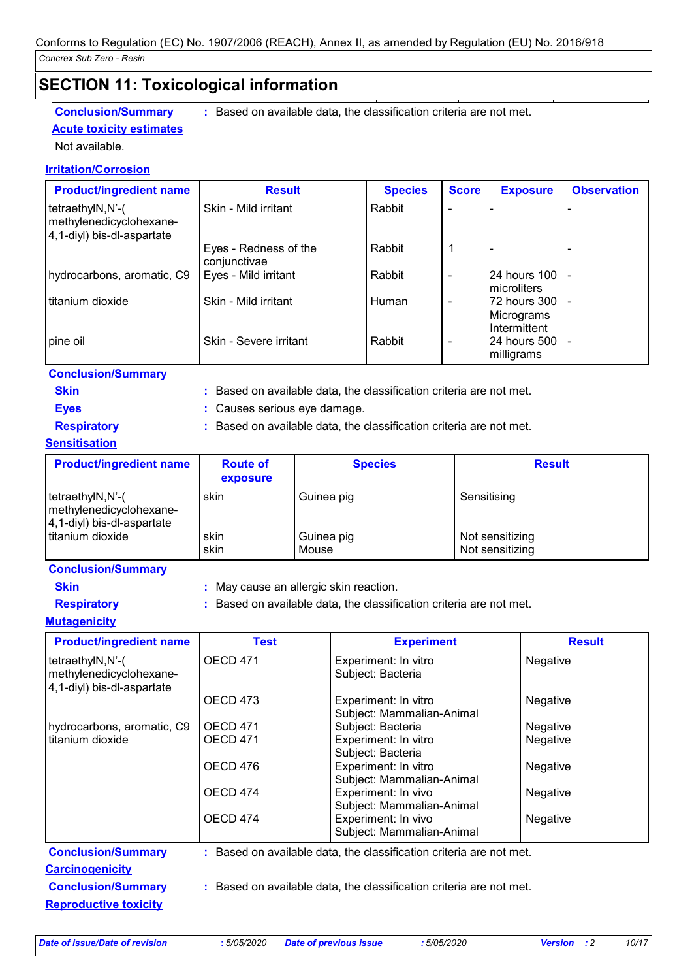# **SECTION 11: Toxicological information**

# **Acute toxicity estimates**

**Conclusion/Summary :** Based on available data, the classification criteria are not met.

# Not available.

#### **Irritation/Corrosion**

| <b>Product/ingredient name</b>                                            | <b>Result</b>                         | <b>Species</b> | <b>Score</b>             | <b>Exposure</b>                                     | <b>Observation</b> |
|---------------------------------------------------------------------------|---------------------------------------|----------------|--------------------------|-----------------------------------------------------|--------------------|
| tetraethylN,N'-(<br>methylenedicyclohexane-<br>4,1-diyl) bis-dl-aspartate | Skin - Mild irritant                  | Rabbit         |                          |                                                     |                    |
|                                                                           | Eyes - Redness of the<br>conjunctivae | Rabbit         |                          |                                                     |                    |
| hydrocarbons, aromatic, C9                                                | Eyes - Mild irritant                  | Rabbit         | $\overline{\phantom{a}}$ | 24 hours 100 -<br>Imicroliters                      |                    |
| titanium dioxide                                                          | Skin - Mild irritant                  | Human          | $\qquad \qquad$          | 72 hours 300 -<br>Micrograms<br><b>Intermittent</b> |                    |
| pine oil                                                                  | Skin - Severe irritant                | Rabbit         | $\overline{\phantom{a}}$ | I24 hours 500 I -<br>milligrams                     |                    |

#### **Conclusion/Summary**

- 
- **Skin Example 20 EXAMPLE 1 Based on available data, the classification criteria are not met.**
- **Eyes :** Causes serious eye damage.
- 
- 
- **Respiratory :** Based on available data, the classification criteria are not met.

# **Sensitisation**

| <b>Product/ingredient name</b>                                            | <b>Route of</b><br>exposure | <b>Species</b>      | <b>Result</b>                      |
|---------------------------------------------------------------------------|-----------------------------|---------------------|------------------------------------|
| tetraethylN,N'-(<br>methylenedicyclohexane-<br>4,1-diyl) bis-dl-aspartate | skin                        | Guinea pig          | Sensitising                        |
| titanium dioxide                                                          | skin<br>skin                | Guinea pig<br>Mouse | Not sensitizing<br>Not sensitizing |

#### **Conclusion/Summary**

- 
- 
- **Skin :** May cause an allergic skin reaction.
- **Respiratory :** Based on available data, the classification criteria are not met.

#### **Mutagenicity**

| <b>Product/ingredient name</b>                                            | <b>Test</b>     | <b>Experiment</b>                                                   | <b>Result</b> |
|---------------------------------------------------------------------------|-----------------|---------------------------------------------------------------------|---------------|
| tetraethylN,N'-(<br>methylenedicyclohexane-<br>4,1-diyl) bis-dl-aspartate | <b>OECD 471</b> | Experiment: In vitro<br>Subject: Bacteria                           | Negative      |
|                                                                           | OECD 473        | Experiment: In vitro<br>Subject: Mammalian-Animal                   | Negative      |
| hydrocarbons, aromatic, C9                                                | <b>OECD 471</b> | Subject: Bacteria                                                   | Negative      |
| titanium dioxide                                                          | <b>OECD 471</b> | Experiment: In vitro<br>Subject: Bacteria                           | Negative      |
|                                                                           | OECD 476        | Experiment: In vitro<br>Subject: Mammalian-Animal                   | Negative      |
|                                                                           | OECD 474        | Experiment: In vivo<br>Subject: Mammalian-Animal                    | Negative      |
|                                                                           | OECD 474        | Experiment: In vivo<br>Subject: Mammalian-Animal                    | Negative      |
| <b>Conclusion/Summary</b>                                                 |                 | : Based on available data, the classification criteria are not met. |               |
| <b>Carcinogenicity</b>                                                    |                 |                                                                     |               |
| <b>Conclusion/Summary</b>                                                 |                 | : Based on available data, the classification criteria are not met. |               |
| <b>Reproductive toxicity</b>                                              |                 |                                                                     |               |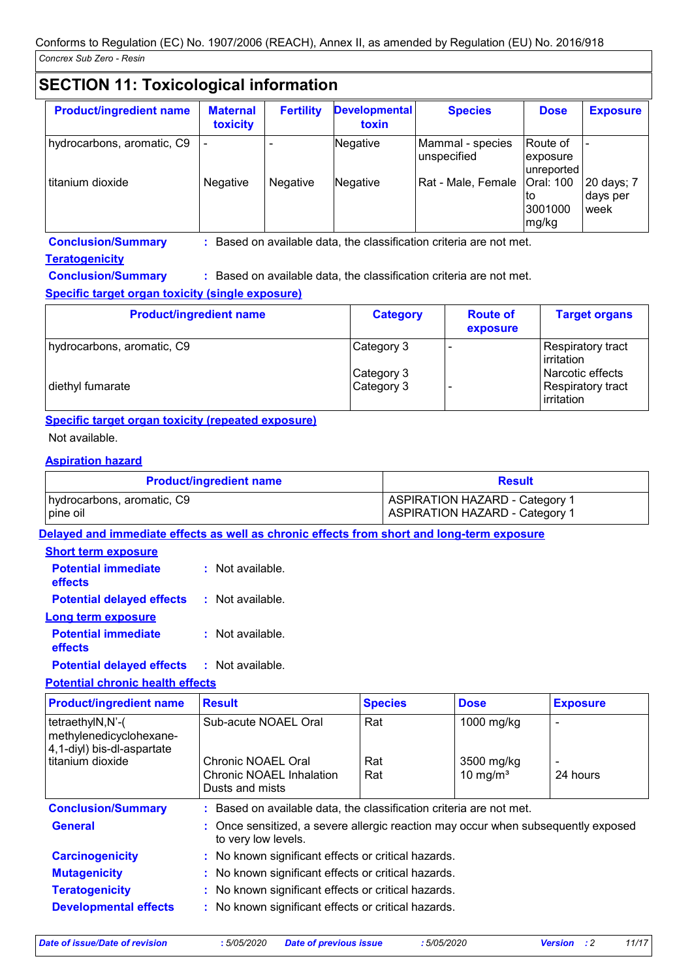# **SECTION 11: Toxicological information**

| <b>Product/ingredient name</b> | <b>Maternal</b><br>toxicity | <b>Fertility</b> | <b>Developmental</b><br>toxin | <b>Species</b>                  | <b>Dose</b>                         | <b>Exposure</b>                |
|--------------------------------|-----------------------------|------------------|-------------------------------|---------------------------------|-------------------------------------|--------------------------------|
| hydrocarbons, aromatic, C9     |                             |                  | Negative                      | Mammal - species<br>unspecified | Route of<br>exposure<br>unreported  |                                |
| titanium dioxide               | <b>Negative</b>             | Negative         | Negative                      | Rat - Male, Female              | Oral: 100<br>to<br>3001000<br>mg/kg | 20 days; 7<br>days per<br>week |

**Conclusion/Summary :** Based on available data, the classification criteria are not met.

#### **Teratogenicity**

**Conclusion/Summary :** Based on available data, the classification criteria are not met.

#### **Specific target organ toxicity (single exposure)**

| <b>Product/ingredient name</b> | <b>Category</b>          | <b>Route of</b><br>exposure | <b>Target organs</b>                                  |
|--------------------------------|--------------------------|-----------------------------|-------------------------------------------------------|
| hydrocarbons, aromatic, C9     | Category 3               |                             | <b>Respiratory tract</b><br>irritation                |
| diethyl fumarate               | Category 3<br>Category 3 |                             | l Narcotic effects<br>Respiratory tract<br>irritation |

#### **Specific target organ toxicity (repeated exposure)**

#### Not available.

#### **Aspiration hazard**

| <b>Product/ingredient name</b> | <b>Result</b>                         |
|--------------------------------|---------------------------------------|
| hydrocarbons, aromatic, C9     | <b>ASPIRATION HAZARD - Category 1</b> |
| pine oil                       | ASPIRATION HAZARD - Category 1        |

**Delayed and immediate effects as well as chronic effects from short and long-term exposure**

### **Short term exposure**

| <b>Potential immediate</b><br>effects | $:$ Not available. |
|---------------------------------------|--------------------|
| <b>Potential delayed effects</b>      | : Not available.   |
| <b>Long term exposure</b>             |                    |
| <b>Potential immediate</b><br>effects | : Not available.   |
|                                       |                    |

#### **Potential delayed effects :** Not available.

#### **Potential chronic health effects**

| <b>Product/ingredient name</b>                                            | <b>Result</b>                                                                                            | <b>Species</b> | <b>Dose</b> | <b>Exposure</b>          |
|---------------------------------------------------------------------------|----------------------------------------------------------------------------------------------------------|----------------|-------------|--------------------------|
| tetraethylN,N'-(<br>methylenedicyclohexane-<br>4,1-diyl) bis-dl-aspartate | Sub-acute NOAEL Oral                                                                                     | Rat            | 1000 mg/kg  |                          |
| titanium dioxide                                                          | Chronic NOAEL Oral                                                                                       | Rat            | 3500 mg/kg  | $\overline{\phantom{0}}$ |
|                                                                           | Chronic NOAEL Inhalation<br>Dusts and mists                                                              | Rat            | 10 mg/ $m3$ | 24 hours                 |
| <b>Conclusion/Summary</b>                                                 | : Based on available data, the classification criteria are not met.                                      |                |             |                          |
| <b>General</b>                                                            | : Once sensitized, a severe allergic reaction may occur when subsequently exposed<br>to very low levels. |                |             |                          |
| <b>Carcinogenicity</b>                                                    | : No known significant effects or critical hazards.                                                      |                |             |                          |
| <b>Mutagenicity</b>                                                       | : No known significant effects or critical hazards.                                                      |                |             |                          |
| <b>Teratogenicity</b>                                                     | : No known significant effects or critical hazards.                                                      |                |             |                          |
| <b>Developmental effects</b>                                              | : No known significant effects or critical hazards.                                                      |                |             |                          |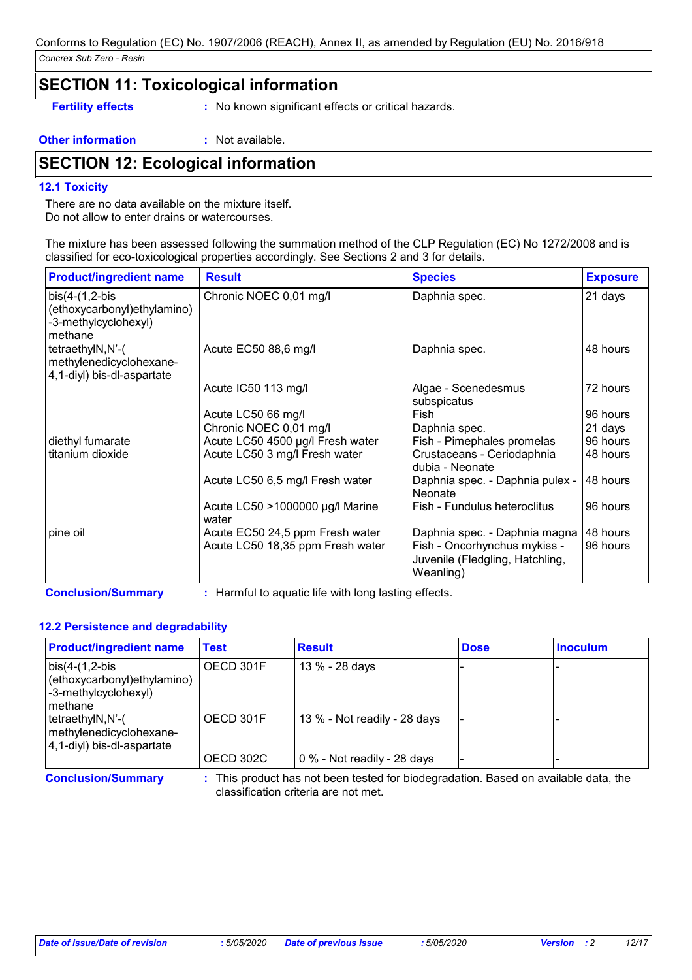### **SECTION 11: Toxicological information**

**Fertility effects** : No known significant effects or critical hazards.

**Other information :** Not available.

# **SECTION 12: Ecological information**

#### **12.1 Toxicity**

There are no data available on the mixture itself. Do not allow to enter drains or watercourses.

The mixture has been assessed following the summation method of the CLP Regulation (EC) No 1272/2008 and is classified for eco-toxicological properties accordingly. See Sections 2 and 3 for details.

| <b>Product/ingredient name</b>                                                     | <b>Result</b>                            | <b>Species</b>                                                               | <b>Exposure</b> |
|------------------------------------------------------------------------------------|------------------------------------------|------------------------------------------------------------------------------|-----------------|
| $bis(4-(1,2-bis$<br>(ethoxycarbonyl)ethylamino)<br>-3-methylcyclohexyl)<br>methane | Chronic NOEC 0,01 mg/l                   | Daphnia spec.                                                                | 21 days         |
| tetraethylN,N'-(<br>methylenedicyclohexane-<br>4,1-diyl) bis-dl-aspartate          | Acute EC50 88,6 mg/l                     | Daphnia spec.                                                                | 48 hours        |
|                                                                                    | Acute IC50 113 mg/l                      | Algae - Scenedesmus<br>subspicatus                                           | 72 hours        |
|                                                                                    | Acute LC50 66 mg/l                       | Fish                                                                         | 96 hours        |
|                                                                                    | Chronic NOEC 0,01 mg/l                   | Daphnia spec.                                                                | 21 days         |
| diethyl fumarate                                                                   | Acute LC50 4500 µg/l Fresh water         | Fish - Pimephales promelas                                                   | 96 hours        |
| titanium dioxide                                                                   | Acute LC50 3 mg/l Fresh water            | Crustaceans - Ceriodaphnia<br>dubia - Neonate                                | I48 hours       |
|                                                                                    | Acute LC50 6,5 mg/l Fresh water          | Daphnia spec. - Daphnia pulex -<br>Neonate                                   | 148 hours       |
|                                                                                    | Acute LC50 >1000000 µg/l Marine<br>water | Fish - Fundulus heteroclitus                                                 | 96 hours        |
| pine oil                                                                           | Acute EC50 24,5 ppm Fresh water          | Daphnia spec. - Daphnia magna                                                | 48 hours        |
|                                                                                    | Acute LC50 18,35 ppm Fresh water         | Fish - Oncorhynchus mykiss -<br>Juvenile (Fledgling, Hatchling,<br>Weanling) | 96 hours        |

**Conclusion/Summary :** Harmful to aquatic life with long lasting effects.

#### **12.2 Persistence and degradability**

| <b>Product/ingredient name</b>                                                        | Test      | <b>Result</b>                | <b>Dose</b> | <b>Inoculum</b> |
|---------------------------------------------------------------------------------------|-----------|------------------------------|-------------|-----------------|
| $bis(4-(1,2-bis$<br>(ethoxycarbonyl) ethylamino)<br>-3-methylcyclohexyl)<br>I methane | OECD 301F | 13 % - 28 days               |             |                 |
| tetraethylN,N'-(<br>methylenedicyclohexane-<br>4,1-diyl) bis-dl-aspartate             | OECD 301F | 13 % - Not readily - 28 days |             |                 |
|                                                                                       | OECD 302C | 0 % - Not readily - 28 days  |             |                 |

**Conclusion/Summary :** This product has not been tested for biodegradation. Based on available data, the classification criteria are not met.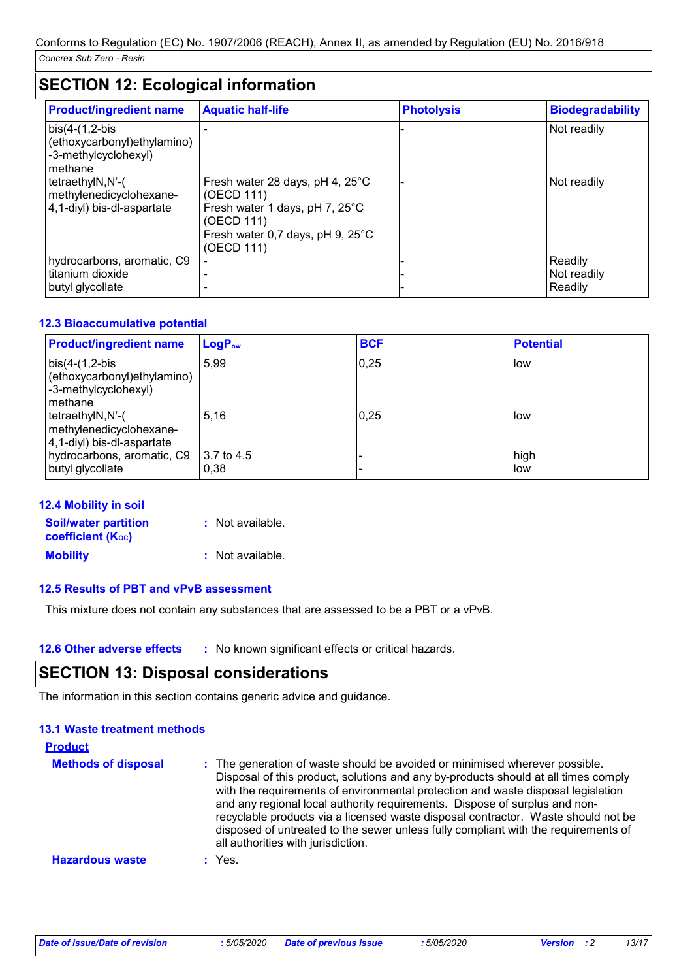# **SECTION 12: Ecological information**

| <b>Product/ingredient name</b>                                                      | <b>Aquatic half-life</b>                                                                                                                        | <b>Photolysis</b> | <b>Biodegradability</b>           |
|-------------------------------------------------------------------------------------|-------------------------------------------------------------------------------------------------------------------------------------------------|-------------------|-----------------------------------|
| $bis(4-(1,2-bis$<br>(ethoxycarbonyl) ethylamino)<br>-3-methylcyclohexyl)<br>methane |                                                                                                                                                 |                   | Not readily                       |
| tetraethylN,N'-(<br>methylenedicyclohexane-<br>4,1-diyl) bis-dl-aspartate           | Fresh water 28 days, pH 4, 25°C<br>(OECD 111)<br>Fresh water 1 days, pH 7, 25°C<br>(OECD 111)<br>Fresh water 0,7 days, pH 9, 25°C<br>(OECD 111) |                   | Not readily                       |
| hydrocarbons, aromatic, C9<br>titanium dioxide<br>butyl glycollate                  |                                                                                                                                                 |                   | Readily<br>Not readily<br>Readily |

#### **12.3 Bioaccumulative potential**

| <b>Product/ingredient name</b>                                                      | $LogP_{ow}$        | <b>BCF</b> | <b>Potential</b> |
|-------------------------------------------------------------------------------------|--------------------|------------|------------------|
| $bis(4-(1,2-bis$<br>(ethoxycarbonyl) ethylamino)<br>-3-methylcyclohexyl)<br>methane | 5.99               | 0,25       | low              |
| tetraethylN,N'-(<br>methylenedicyclohexane-<br>4,1-diyl) bis-dl-aspartate           | 5.16               | 0.25       | low              |
| hydrocarbons, aromatic, C9<br>butyl glycollate                                      | 3.7 to 4.5<br>0,38 |            | high<br>low      |

#### **12.4 Mobility in soil**

| <b>Soil/water partition</b>    | : Not available. |
|--------------------------------|------------------|
| coefficient (K <sub>oc</sub> ) |                  |
| <b>Mobility</b>                | : Not available. |

#### **12.5 Results of PBT and vPvB assessment**

This mixture does not contain any substances that are assessed to be a PBT or a vPvB.

**12.6 Other adverse effects** : No known significant effects or critical hazards.

## **SECTION 13: Disposal considerations**

The information in this section contains generic advice and guidance.

| <b>Product</b>             |                                                                                                                                                                                                                                                                                                                                                                                                                                                                                                                                                      |
|----------------------------|------------------------------------------------------------------------------------------------------------------------------------------------------------------------------------------------------------------------------------------------------------------------------------------------------------------------------------------------------------------------------------------------------------------------------------------------------------------------------------------------------------------------------------------------------|
| <b>Methods of disposal</b> | : The generation of waste should be avoided or minimised wherever possible.<br>Disposal of this product, solutions and any by-products should at all times comply<br>with the requirements of environmental protection and waste disposal legislation<br>and any regional local authority requirements. Dispose of surplus and non-<br>recyclable products via a licensed waste disposal contractor. Waste should not be<br>disposed of untreated to the sewer unless fully compliant with the requirements of<br>all authorities with jurisdiction. |
| <b>Hazardous waste</b>     | $:$ Yes.                                                                                                                                                                                                                                                                                                                                                                                                                                                                                                                                             |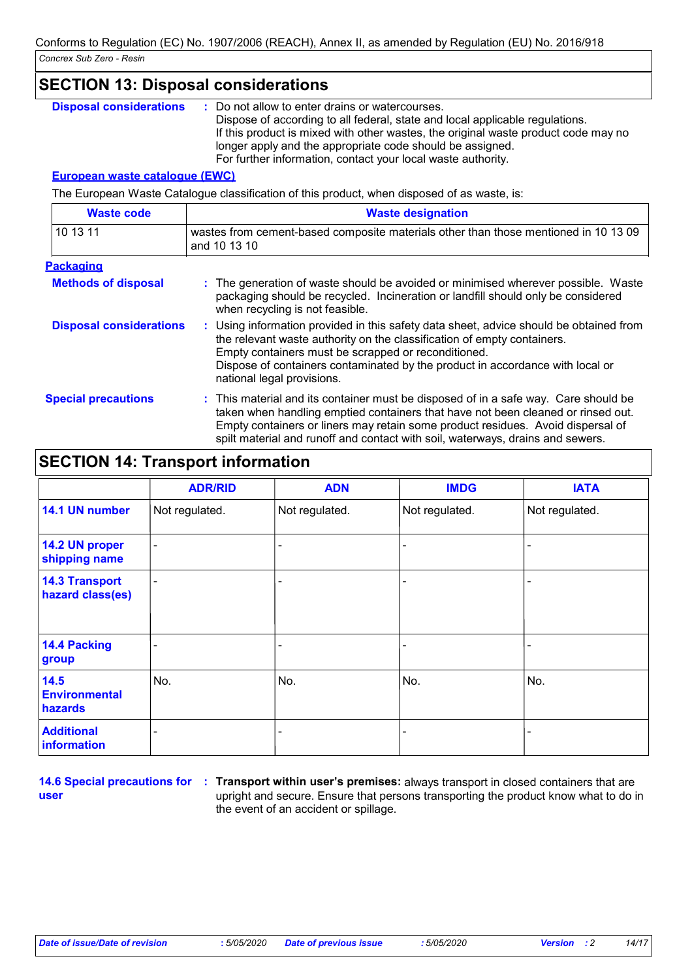|                                       | <b>SECTION 13: Disposal considerations</b>                                                                                                                                                                                                                                                                                                         |
|---------------------------------------|----------------------------------------------------------------------------------------------------------------------------------------------------------------------------------------------------------------------------------------------------------------------------------------------------------------------------------------------------|
| <b>Disposal considerations</b>        | : Do not allow to enter drains or watercourses.<br>Dispose of according to all federal, state and local applicable regulations.<br>If this product is mixed with other wastes, the original waste product code may no<br>longer apply and the appropriate code should be assigned.<br>For further information, contact your local waste authority. |
| <b>European waste cataloque (EWC)</b> |                                                                                                                                                                                                                                                                                                                                                    |
|                                       | The European Waste Catalogue classification of this product, when disposed of as waste, is:                                                                                                                                                                                                                                                        |
| <b>Waste code</b>                     | <b>Waste designation</b>                                                                                                                                                                                                                                                                                                                           |
| 10 13 11                              | wastes from cement-based composite materials other than those mentioned in 10 13 09<br>and 10 13 10                                                                                                                                                                                                                                                |

| <b>Packaging</b> |
|------------------|
|------------------|

| <b>Methods of disposal</b>     | : The generation of waste should be avoided or minimised wherever possible. Waste<br>packaging should be recycled. Incineration or landfill should only be considered<br>when recycling is not feasible. |
|--------------------------------|----------------------------------------------------------------------------------------------------------------------------------------------------------------------------------------------------------|
| <b>Disposal considerations</b> | Using information provided in this safety data sheet, advice should be obtained from<br>the relevant waste authority on the classification of empty containers.                                          |

|                            | Empty containers must be scrapped or reconditioned.<br>Dispose of containers contaminated by the product in accordance with local or<br>national legal provisions.                                                                                                                                                                           |
|----------------------------|----------------------------------------------------------------------------------------------------------------------------------------------------------------------------------------------------------------------------------------------------------------------------------------------------------------------------------------------|
| <b>Special precautions</b> | : This material and its container must be disposed of in a safe way. Care should be<br>taken when handling emptied containers that have not been cleaned or rinsed out.<br>Empty containers or liners may retain some product residues. Avoid dispersal of<br>spilt material and runoff and contact with soil, waterways, drains and sewers. |

# **SECTION 14: Transport information**

|                                           | <b>ADR/RID</b>           | <b>ADN</b>     | <b>IMDG</b>    | <b>IATA</b>              |
|-------------------------------------------|--------------------------|----------------|----------------|--------------------------|
| 14.1 UN number                            | Not regulated.           | Not regulated. | Not regulated. | Not regulated.           |
| 14.2 UN proper<br>shipping name           | $\overline{\phantom{a}}$ |                |                |                          |
| <b>14.3 Transport</b><br>hazard class(es) | $\overline{\phantom{a}}$ |                |                | $\overline{\phantom{0}}$ |
| 14.4 Packing<br>group                     | -                        | ۰              |                |                          |
| 14.5<br><b>Environmental</b><br>hazards   | No.                      | No.            | No.            | No.                      |
| <b>Additional</b><br>information          |                          |                |                |                          |

**user**

**14.6 Special precautions for : Transport within user's premises: always transport in closed containers that are** upright and secure. Ensure that persons transporting the product know what to do in the event of an accident or spillage.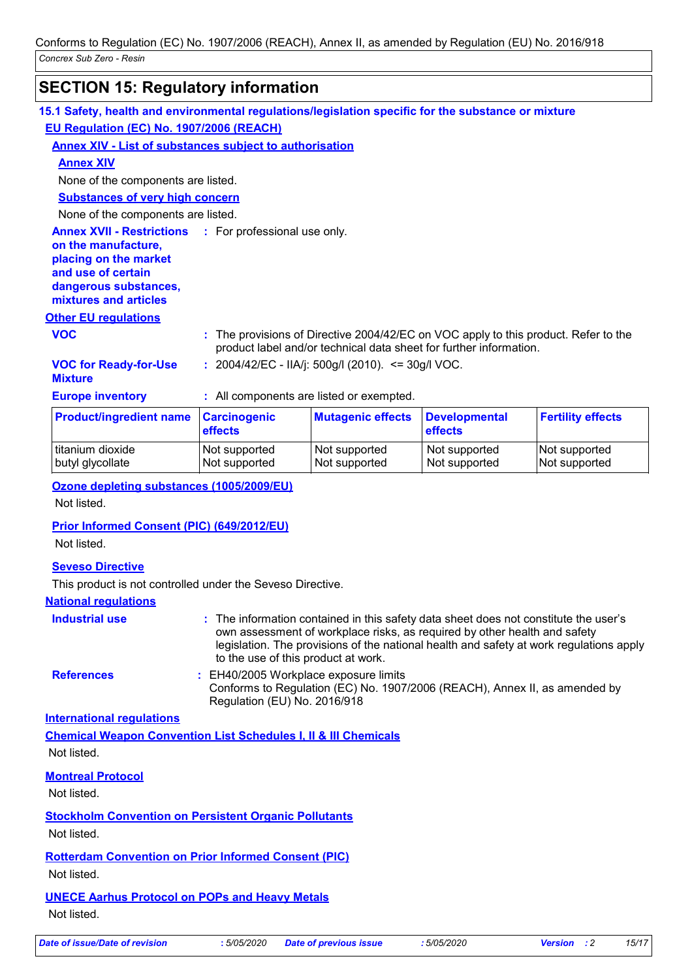# **SECTION 15: Regulatory information**

| 15.1 Safety, health and environmental regulations/legislation specific for the substance or mixture                                                      |                                |                                                                                                                                                           |                                 |                                |
|----------------------------------------------------------------------------------------------------------------------------------------------------------|--------------------------------|-----------------------------------------------------------------------------------------------------------------------------------------------------------|---------------------------------|--------------------------------|
| EU Regulation (EC) No. 1907/2006 (REACH)                                                                                                                 |                                |                                                                                                                                                           |                                 |                                |
| Annex XIV - List of substances subject to authorisation                                                                                                  |                                |                                                                                                                                                           |                                 |                                |
| <b>Annex XIV</b>                                                                                                                                         |                                |                                                                                                                                                           |                                 |                                |
| None of the components are listed.                                                                                                                       |                                |                                                                                                                                                           |                                 |                                |
| <b>Substances of very high concern</b>                                                                                                                   |                                |                                                                                                                                                           |                                 |                                |
| None of the components are listed.                                                                                                                       |                                |                                                                                                                                                           |                                 |                                |
| <b>Annex XVII - Restrictions</b><br>on the manufacture,<br>placing on the market<br>and use of certain<br>dangerous substances,<br>mixtures and articles | : For professional use only.   |                                                                                                                                                           |                                 |                                |
| <b>Other EU regulations</b>                                                                                                                              |                                |                                                                                                                                                           |                                 |                                |
| <b>VOC</b>                                                                                                                                               |                                | : The provisions of Directive 2004/42/EC on VOC apply to this product. Refer to the<br>product label and/or technical data sheet for further information. |                                 |                                |
| <b>VOC for Ready-for-Use</b><br><b>Mixture</b>                                                                                                           |                                | : $2004/42/EC - IIA/j$ : $500g/l$ (2010). <= $30g/l$ VOC.                                                                                                 |                                 |                                |
| <b>Europe inventory</b>                                                                                                                                  |                                | : All components are listed or exempted.                                                                                                                  |                                 |                                |
| <b>Product/ingredient name</b>                                                                                                                           | <b>Carcinogenic</b><br>effects | <b>Mutagenic effects</b>                                                                                                                                  | <b>Developmental</b><br>effects | <b>Fertility effects</b>       |
| titanium dioxide<br>butyl glycollate                                                                                                                     | Not supported<br>Not supported | Not supported<br>Not supported                                                                                                                            | Not supported<br>Not supported  | Not supported<br>Not supported |
| Ozone depleting substances (1005/2009/EU)                                                                                                                |                                |                                                                                                                                                           |                                 |                                |
| Not listed.                                                                                                                                              |                                |                                                                                                                                                           |                                 |                                |
|                                                                                                                                                          |                                |                                                                                                                                                           |                                 |                                |
| <b>Prior Informed Consent (PIC) (649/2012/EU)</b>                                                                                                        |                                |                                                                                                                                                           |                                 |                                |
| Not listed.                                                                                                                                              |                                |                                                                                                                                                           |                                 |                                |
| <b>Seveso Directive</b>                                                                                                                                  |                                |                                                                                                                                                           |                                 |                                |

This product is not controlled under the Seveso Directive.

#### **National regulations**

| Industrial use                   | : The information contained in this safety data sheet does not constitute the user's<br>own assessment of workplace risks, as required by other health and safety<br>legislation. The provisions of the national health and safety at work regulations apply<br>to the use of this product at work. |
|----------------------------------|-----------------------------------------------------------------------------------------------------------------------------------------------------------------------------------------------------------------------------------------------------------------------------------------------------|
| <b>References</b>                | : EH40/2005 Workplace exposure limits<br>Conforms to Regulation (EC) No. 1907/2006 (REACH), Annex II, as amended by<br>Regulation (EU) No. 2016/918                                                                                                                                                 |
| <b>International requlations</b> |                                                                                                                                                                                                                                                                                                     |
|                                  | <b>Chemical Weapon Convention List Schedules I, II &amp; III Chemicals</b>                                                                                                                                                                                                                          |
| Not listed.                      |                                                                                                                                                                                                                                                                                                     |
| <b>Montreal Protocol</b>         |                                                                                                                                                                                                                                                                                                     |
| Not listed.                      |                                                                                                                                                                                                                                                                                                     |
|                                  | <b>Stockholm Convention on Persistent Organic Pollutants</b>                                                                                                                                                                                                                                        |
| Not listed.                      |                                                                                                                                                                                                                                                                                                     |
|                                  | <b>Rotterdam Convention on Prior Informed Consent (PIC)</b>                                                                                                                                                                                                                                         |
| Not listed.                      |                                                                                                                                                                                                                                                                                                     |
|                                  | <b>UNECE Aarhus Protocol on POPs and Heavy Metals</b>                                                                                                                                                                                                                                               |
| Not listed.                      |                                                                                                                                                                                                                                                                                                     |
|                                  |                                                                                                                                                                                                                                                                                                     |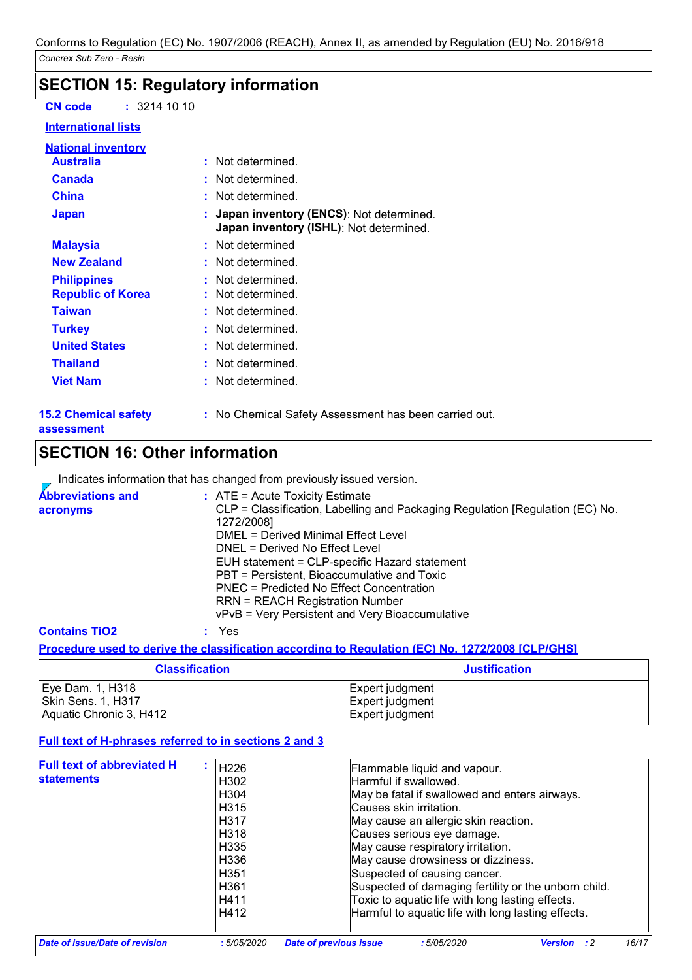## **SECTION 15: Regulatory information**

**CN code :** 3214 10 10

#### **International lists**

| National inventory                             |                                                                                    |
|------------------------------------------------|------------------------------------------------------------------------------------|
| <b>Australia</b>                               | Not determined.                                                                    |
| <b>Canada</b>                                  | : Not determined.                                                                  |
| <b>China</b>                                   | : Not determined.                                                                  |
| <b>Japan</b>                                   | Japan inventory (ENCS): Not determined.<br>Japan inventory (ISHL): Not determined. |
| <b>Malaysia</b>                                | : Not determined                                                                   |
| <b>New Zealand</b>                             | : Not determined.                                                                  |
| <b>Philippines</b><br><b>Republic of Korea</b> | : Not determined.<br>Not determined.                                               |
| <b>Taiwan</b>                                  | : Not determined.                                                                  |
| <b>Turkey</b>                                  | Not determined.                                                                    |
| <b>United States</b>                           | : Not determined.                                                                  |
| <b>Thailand</b>                                | Not determined.                                                                    |
| <b>Viet Nam</b>                                | Not determined.                                                                    |
|                                                |                                                                                    |

#### **15.2 Chemical safety assessment**

**:** No Chemical Safety Assessment has been carried out.

# **SECTION 16: Other information**

Indicates information that has changed from previously issued version.

| <b>Abbreviations and</b><br>acronyms | $\therefore$ ATE = Acute Toxicity Estimate<br>CLP = Classification, Labelling and Packaging Regulation [Regulation (EC) No.<br>1272/2008]<br>DMEL = Derived Minimal Effect Level<br>DNEL = Derived No Effect Level<br>EUH statement = CLP-specific Hazard statement<br>PBT = Persistent, Bioaccumulative and Toxic<br>PNEC = Predicted No Effect Concentration<br><b>RRN = REACH Registration Number</b><br>vPvB = Very Persistent and Very Bioaccumulative |
|--------------------------------------|-------------------------------------------------------------------------------------------------------------------------------------------------------------------------------------------------------------------------------------------------------------------------------------------------------------------------------------------------------------------------------------------------------------------------------------------------------------|
| <b>Contains TiO2</b>                 | Yes                                                                                                                                                                                                                                                                                                                                                                                                                                                         |

#### **Procedure used to derive the classification according to Regulation (EC) No. 1272/2008 [CLP/GHS]**

| <b>Classification</b>   | <b>Justification</b> |
|-------------------------|----------------------|
| Eye Dam. 1, H318        | Expert judgment      |
| Skin Sens. 1, H317      | Expert judgment      |
| Aquatic Chronic 3, H412 | Expert judgment      |

#### **Full text of H-phrases referred to in sections 2 and 3**

| <b>Full text of abbreviated H</b> | H <sub>226</sub>  | Flammable liquid and vapour.                         |
|-----------------------------------|-------------------|------------------------------------------------------|
| <b>statements</b>                 | H302              | Harmful if swallowed.                                |
|                                   | H <sub>304</sub>  | May be fatal if swallowed and enters airways.        |
|                                   | H <sub>315</sub>  | Causes skin irritation.                              |
|                                   | H <sub>3</sub> 17 | May cause an allergic skin reaction.                 |
|                                   | H <sub>3</sub> 18 | Causes serious eye damage.                           |
|                                   | H335              | May cause respiratory irritation.                    |
|                                   | H336              | May cause drowsiness or dizziness.                   |
|                                   | H <sub>351</sub>  | Suspected of causing cancer.                         |
|                                   | H <sub>361</sub>  | Suspected of damaging fertility or the unborn child. |
|                                   | H411              | Toxic to aquatic life with long lasting effects.     |
|                                   | H412              | Harmful to aquatic life with long lasting effects.   |
|                                   |                   |                                                      |